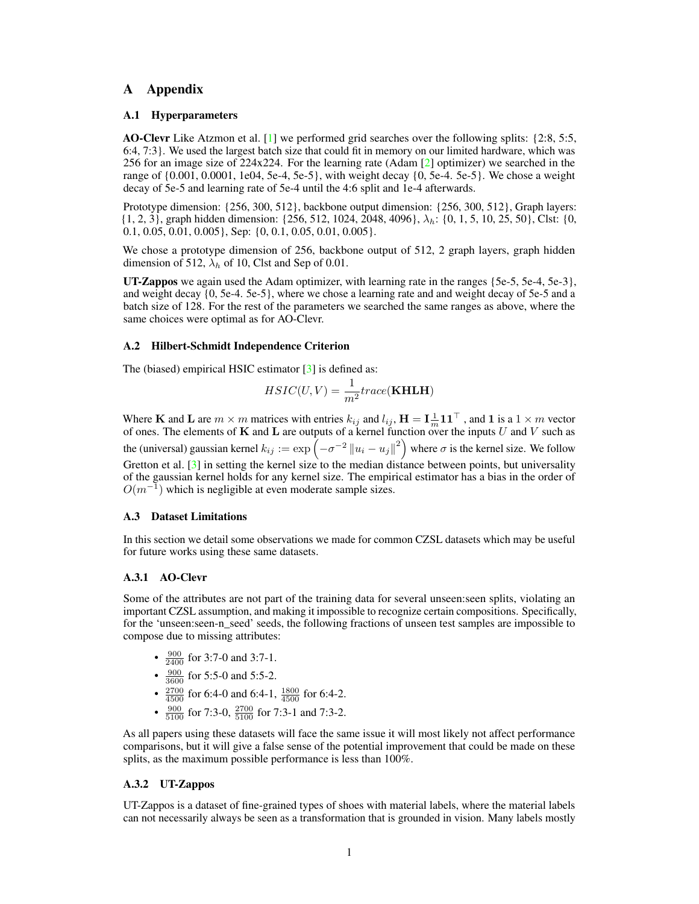# A Appendix

### A.1 Hyperparameters

AO-Clevr Like Atzmon et al. [\[1\]](#page-4-0) we performed grid searches over the following splits: {2:8, 5:5, 6:4, 7:3}. We used the largest batch size that could fit in memory on our limited hardware, which was 256 for an image size of 224x224. For the learning rate (Adam [\[2\]](#page-4-1) optimizer) we searched in the range of {0.001, 0.0001, 1e04, 5e-4, 5e-5}, with weight decay {0, 5e-4. 5e-5}. We chose a weight decay of 5e-5 and learning rate of 5e-4 until the 4:6 split and 1e-4 afterwards.

Prototype dimension: {256, 300, 512}, backbone output dimension: {256, 300, 512}, Graph layers:  $\{1, 2, 3\}$ , graph hidden dimension:  $\{256, 512, 1024, 2048, 4096\}$ ,  $\lambda_h$ :  $\{0, 1, 5, 10, 25, 50\}$ , Clst:  $\{0, 1, 2, 3\}$ 0.1, 0.05, 0.01, 0.005}, Sep: {0, 0.1, 0.05, 0.01, 0.005}.

We chose a prototype dimension of 256, backbone output of 512, 2 graph layers, graph hidden dimension of 512,  $\lambda_h$  of 10, Clst and Sep of 0.01.

**UT-Zappos** we again used the Adam optimizer, with learning rate in the ranges  $\{5e-5, 5e-4, 5e-3\}$ , and weight decay {0, 5e-4. 5e-5}, where we chose a learning rate and and weight decay of 5e-5 and a batch size of 128. For the rest of the parameters we searched the same ranges as above, where the same choices were optimal as for AO-Clevr.

### A.2 Hilbert-Schmidt Independence Criterion

The (biased) empirical HSIC estimator [\[3\]](#page-4-2) is defined as:

$$
HSIC(U,V)=\frac{1}{m^2}trace(\mathbf{KHLH})
$$

Where **K** and **L** are  $m \times m$  matrices with entries  $k_{ij}$  and  $l_{ij}$ ,  $\mathbf{H} = \mathbf{I} \cdot \mathbf{I} \cdot \mathbf{n} \cdot \mathbf{n}$ , and **1** is a  $1 \times m$  vector of ones. The elements of K and L are outputs of a kernel function over the inputs U and V such as the (universal) gaussian kernel  $k_{ij} := \exp\left(-\sigma^{-2} ||u_i - u_j||^2\right)$  where  $\sigma$  is the kernel size. We follow Gretton et al. [\[3\]](#page-4-2) in setting the kernel size to the median distance between points, but universality of the gaussian kernel holds for any kernel size. The empirical estimator has a bias in the order of  $O(m^{-1})$  which is negligible at even moderate sample sizes.

### <span id="page-0-0"></span>A.3 Dataset Limitations

In this section we detail some observations we made for common CZSL datasets which may be useful for future works using these same datasets.

### A.3.1 AO-Clevr

Some of the attributes are not part of the training data for several unseen:seen splits, violating an important CZSL assumption, and making it impossible to recognize certain compositions. Specifically, for the 'unseen: seen-n\_seed' seeds, the following fractions of unseen test samples are impossible to compose due to missing attributes:

- $\frac{900}{2400}$  for 3:7-0 and 3:7-1.
- $\frac{900}{3600}$  for 5:5-0 and 5:5-2.
- $\frac{2700}{4500}$  for 6:4-0 and 6:4-1,  $\frac{1800}{4500}$  for 6:4-2.
- $\frac{900}{5100}$  for 7:3-0,  $\frac{2700}{5100}$  for 7:3-1 and 7:3-2.

As all papers using these datasets will face the same issue it will most likely not affect performance comparisons, but it will give a false sense of the potential improvement that could be made on these splits, as the maximum possible performance is less than 100%.

### A.3.2 UT-Zappos

UT-Zappos is a dataset of fine-grained types of shoes with material labels, where the material labels can not necessarily always be seen as a transformation that is grounded in vision. Many labels mostly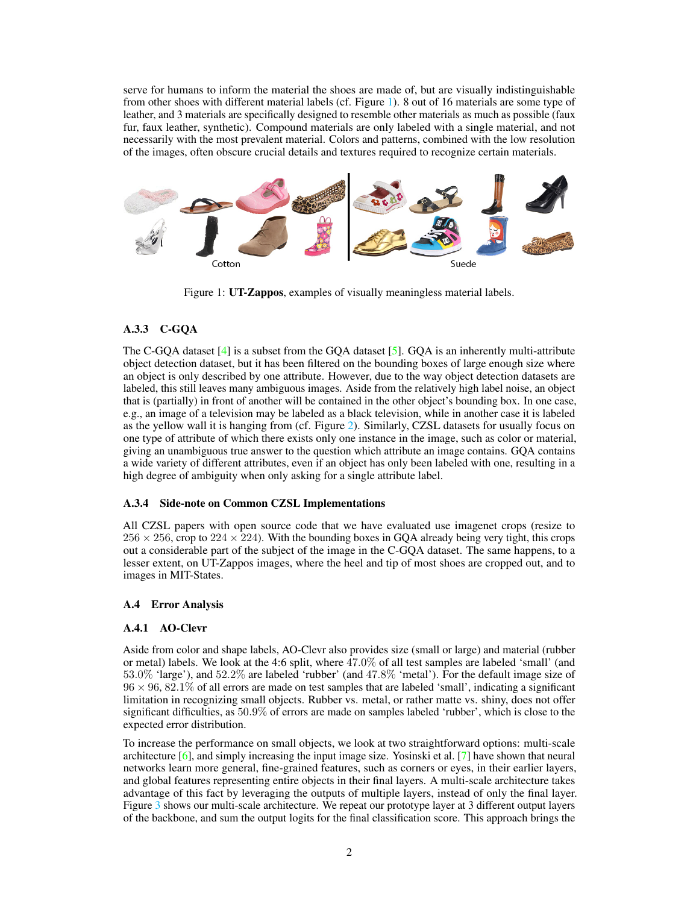serve for humans to inform the material the shoes are made of, but are visually indistinguishable from other shoes with different material labels (cf. Figure [1\)](#page-1-0). 8 out of 16 materials are some type of leather, and 3 materials are specifically designed to resemble other materials as much as possible (faux fur, faux leather, synthetic). Compound materials are only labeled with a single material, and not necessarily with the most prevalent material. Colors and patterns, combined with the low resolution of the images, often obscure crucial details and textures required to recognize certain materials.

<span id="page-1-0"></span>

Figure 1: UT-Zappos, examples of visually meaningless material labels.

# A.3.3 C-GQA

The C-GQA dataset [\[4\]](#page-4-3) is a subset from the GQA dataset [\[5\]](#page-4-4). GQA is an inherently multi-attribute object detection dataset, but it has been filtered on the bounding boxes of large enough size where an object is only described by one attribute. However, due to the way object detection datasets are labeled, this still leaves many ambiguous images. Aside from the relatively high label noise, an object that is (partially) in front of another will be contained in the other object's bounding box. In one case, e.g., an image of a television may be labeled as a black television, while in another case it is labeled as the yellow wall it is hanging from (cf. Figure [2\)](#page-2-0). Similarly, CZSL datasets for usually focus on one type of attribute of which there exists only one instance in the image, such as color or material, giving an unambiguous true answer to the question which attribute an image contains. GQA contains a wide variety of different attributes, even if an object has only been labeled with one, resulting in a high degree of ambiguity when only asking for a single attribute label.

### A.3.4 Side-note on Common CZSL Implementations

All CZSL papers with open source code that we have evaluated use imagenet crops (resize to  $256 \times 256$ , crop to  $224 \times 224$ ). With the bounding boxes in GQA already being very tight, this crops out a considerable part of the subject of the image in the C-GQA dataset. The same happens, to a lesser extent, on UT-Zappos images, where the heel and tip of most shoes are cropped out, and to images in MIT-States.

### A.4 Error Analysis

### A.4.1 AO-Clevr

Aside from color and shape labels, AO-Clevr also provides size (small or large) and material (rubber or metal) labels. We look at the 4:6 split, where 47.0% of all test samples are labeled 'small' (and 53.0% 'large'), and 52.2% are labeled 'rubber' (and 47.8% 'metal'). For the default image size of  $96 \times 96, 82.1\%$  of all errors are made on test samples that are labeled 'small', indicating a significant limitation in recognizing small objects. Rubber vs. metal, or rather matte vs. shiny, does not offer significant difficulties, as 50.9% of errors are made on samples labeled 'rubber', which is close to the expected error distribution.

To increase the performance on small objects, we look at two straightforward options: multi-scale architecture  $[6]$ , and simply increasing the input image size. Yosinski et al.  $[7]$  have shown that neural networks learn more general, fine-grained features, such as corners or eyes, in their earlier layers, and global features representing entire objects in their final layers. A multi-scale architecture takes advantage of this fact by leveraging the outputs of multiple layers, instead of only the final layer. Figure [3](#page-2-1) shows our multi-scale architecture. We repeat our prototype layer at 3 different output layers of the backbone, and sum the output logits for the final classification score. This approach brings the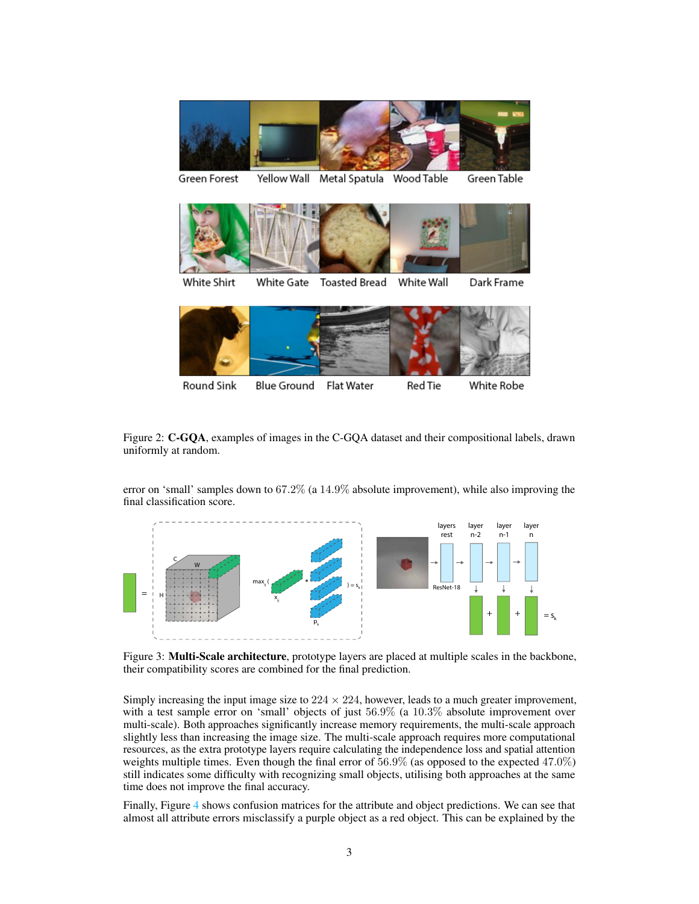<span id="page-2-0"></span>

White Shirt White Gate **Toasted Bread** White Wall Dark Frame

Round Sink Blue Ground Red Tie White Robe Flat Water

Figure 2: C-GQA, examples of images in the C-GQA dataset and their compositional labels, drawn uniformly at random.

error on 'small' samples down to 67.2% (a 14.9% absolute improvement), while also improving the final classification score.

<span id="page-2-1"></span>

Figure 3: **Multi-Scale architecture**, prototype layers are placed at multiple scales in the backbone, their compatibility scores are combined for the final prediction.

Simply increasing the input image size to  $224 \times 224$ , however, leads to a much greater improvement, with a test sample error on 'small' objects of just 56.9% (a 10.3% absolute improvement over multi-scale). Both approaches significantly increase memory requirements, the multi-scale approach slightly less than increasing the image size. The multi-scale approach requires more computational resources, as the extra prototype layers require calculating the independence loss and spatial attention weights multiple times. Even though the final error of  $56.9\%$  (as opposed to the expected 47.0%) still indicates some difficulty with recognizing small objects, utilising both approaches at the same time does not improve the final accuracy.

Finally, Figure [4](#page-3-0) shows confusion matrices for the attribute and object predictions. We can see that almost all attribute errors misclassify a purple object as a red object. This can be explained by the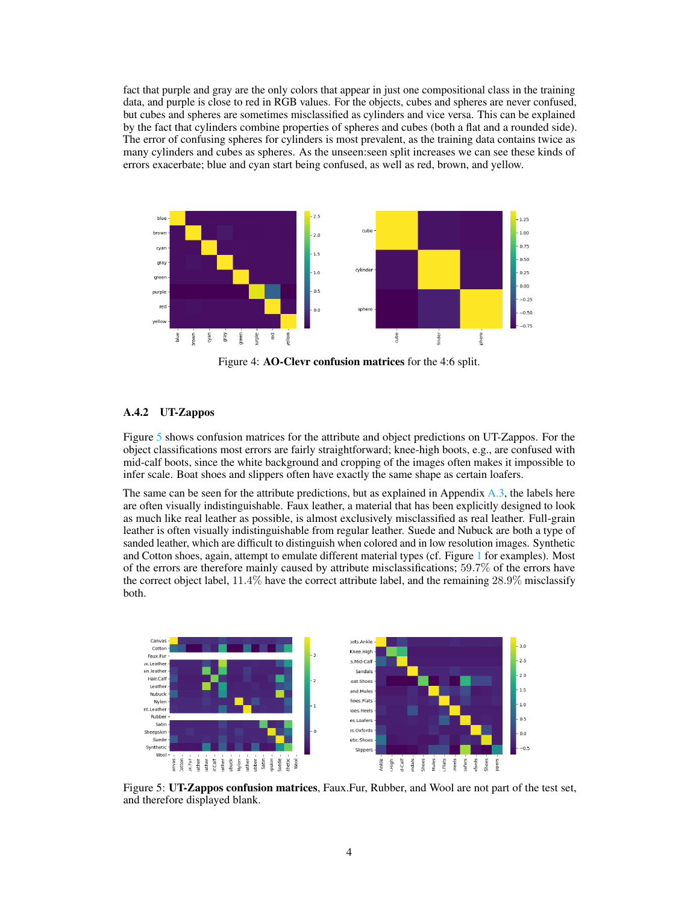fact that purple and gray are the only colors that appear in just one compositional class in the training data, and purple is close to red in RGB values. For the objects, cubes and spheres are never confused, but cubes and spheres are sometimes misclassified as cylinders and vice versa. This can be explained by the fact that cylinders combine properties of spheres and cubes (both a flat and a rounded side). The error of confusing spheres for cylinders is most prevalent, as the training data contains twice as many cylinders and cubes as spheres. As the unseen:seen split increases we can see these kinds of errors exacerbate; blue and cyan start being confused, as well as red, brown, and yellow.

<span id="page-3-0"></span>

Figure 4: AO-Clevr confusion matrices for the 4:6 split.

## A.4.2 UT-Zappos

Figure [5](#page-3-1) shows confusion matrices for the attribute and object predictions on UT-Zappos. For the object classifications most errors are fairly straightforward; knee-high boots, e.g., are confused with mid-calf boots, since the white background and cropping of the images often makes it impossible to infer scale. Boat shoes and slippers often have exactly the same shape as certain loafers.

The same can be seen for the attribute predictions, but as explained in Appendix [A.3,](#page-0-0) the labels here are often visually indistinguishable. Faux leather, a material that has been explicitly designed to look as much like real leather as possible, is almost exclusively misclassified as real leather. Full-grain leather is often visually indistinguishable from regular leather. Suede and Nubuck are both a type of sanded leather, which are difficult to distinguish when colored and in low resolution images. Synthetic and Cotton shoes, again, attempt to emulate different material types (cf. Figure [1](#page-1-0) for examples). Most of the errors are therefore mainly caused by attribute misclassifications; 59.7% of the errors have the correct object label, 11.4% have the correct attribute label, and the remaining 28.9% misclassify both.

<span id="page-3-1"></span>

Figure 5: UT-Zappos confusion matrices, Faux.Fur, Rubber, and Wool are not part of the test set, and therefore displayed blank.